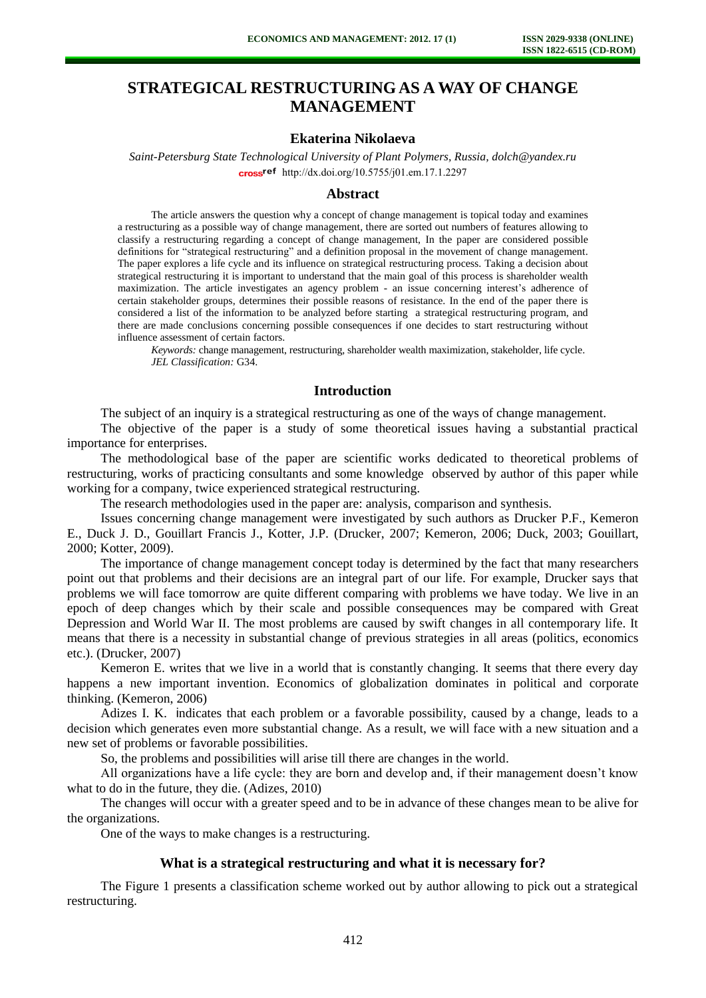# **STRATEGICAL RESTRUCTURING AS A WAY OF CHANGE MANAGEMENT**

# **Ekaterina Nikolaeva**

*Saint-Petersburg State Technological University of Plant Polymers, Russia, dolch@yandex.ru*  [http://dx.doi.org/10.5755/j01.e](http://dx.doi.org/10.5755/j01.em.17.1.2297)m.17.1.2297

## **Abstract**

The article answers the question why a concept of change management is topical today and examines a restructuring as a possible way of change management, there are sorted out numbers of features allowing to classify a restructuring regarding a concept of change management, In the paper are considered possible definitions for "strategical restructuring" and a definition proposal in the movement of change management. The paper explores a life cycle and its influence on strategical restructuring process. Taking a decision about strategical restructuring it is important to understand that the main goal of this process is shareholder wealth maximization. The article investigates an agency problem - an issue concerning interest's adherence of certain stakeholder groups, determines their possible reasons of resistance. In the end of the paper there is considered a list of the information to be analyzed before starting a strategical restructuring program, and there are made conclusions concerning possible consequences if one decides to start restructuring without influence assessment of certain factors.

*Keywords:* change management, restructuring, shareholder wealth maximization, stakeholder, life cycle. *JEL Classification:* G34.

## **Introduction**

The subject of an inquiry is a strategical restructuring as one of the ways of change management.

The objective of the paper is a study of some theoretical issues having a substantial practical importance for enterprises.

The methodological base of the paper are scientific works dedicated to theoretical problems of restructuring, works of practicing consultants and some knowledge observed by author of this paper while working for a company, twice experienced strategical restructuring.

The research methodologies used in the paper are: analysis, comparison and synthesis.

Issues concerning change management were investigated by such authors as Drucker P.F., Kemeron E., Duck J. D., Gouillart Francis J., Kotter, J.P. (Drucker, 2007; Kemeron, 2006; Duck, 2003; Gouillart, 2000; Kotter, 2009).

The importance of change management concept today is determined by the fact that many researchers point out that problems and their decisions are an integral part of our life. For example, Drucker says that problems we will face tomorrow are quite different comparing with problems we have today. We live in an epoch of deep changes which by their scale and possible consequences may be compared with Great Depression and World War II. The most problems are caused by swift changes in all contemporary life. It means that there is a necessity in substantial change of previous strategies in all areas (politics, economics etc.). (Drucker, 2007)

Kemeron E. writes that we live in a world that is constantly changing. It seems that there every day happens a new important invention. Economics of globalization dominates in political and corporate thinking. (Kemeron, 2006)

Adizes I. K. indicates that each problem or a favorable possibility, caused by a change, leads to a decision which generates even more substantial change. As a result, we will face with a new situation and a new set of problems or favorable possibilities.

So, the problems and possibilities will arise till there are changes in the world.

All organizations have a life cycle: they are born and develop and, if their management doesn't know what to do in the future, they die. (Adizes, 2010)

The changes will occur with a greater speed and to be in advance of these changes mean to be alive for the organizations.

One of the ways to make changes is a restructuring.

#### **What is a strategical restructuring and what it is necessary for?**

The Figure 1 presents a classification scheme worked out by author allowing to pick out a strategical restructuring.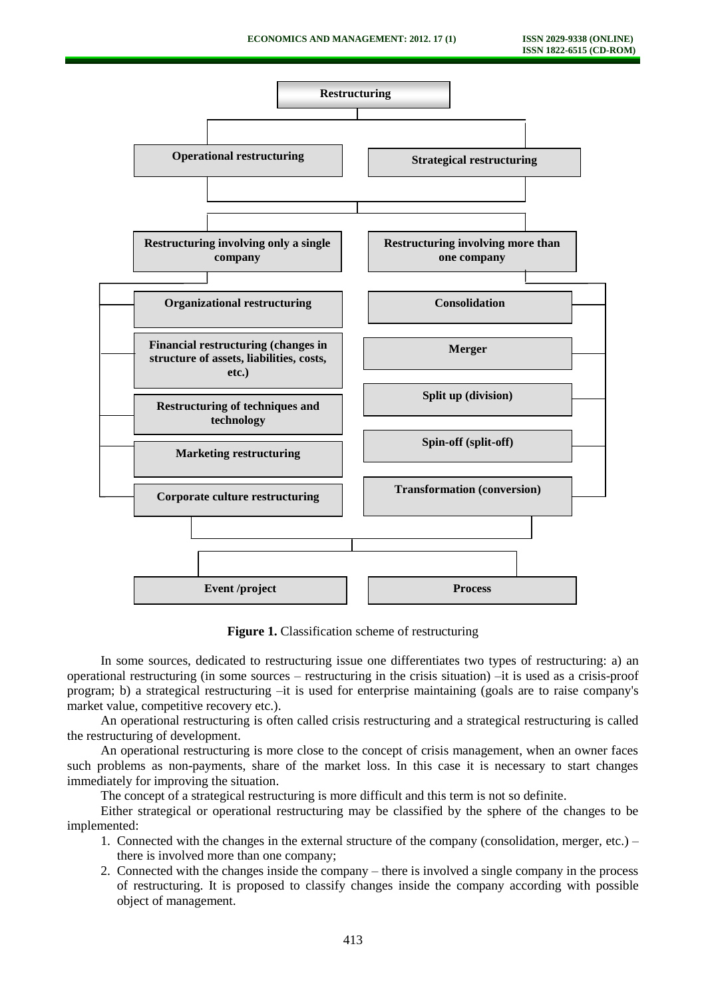

**Figure 1.** Classification scheme of restructuring

In some sources, dedicated to restructuring issue one differentiates two types of restructuring: a) an operational restructuring (in some sources – restructuring in the crisis situation) –it is used as a crisis-proof program; b) a strategical restructuring –it is used for enterprise maintaining (goals are to raise company's market value, competitive recovery etc.).

An operational restructuring is often called crisis restructuring and a strategical restructuring is called the restructuring of development.

An operational restructuring is more close to the concept of crisis management, when an owner faces such problems as non-payments, share of the market loss. In this case it is necessary to start changes immediately for improving the situation.

The concept of a strategical restructuring is more difficult and this term is not so definite.

Either strategical or operational restructuring may be classified by the sphere of the changes to be implemented:

- 1. Connected with the changes in the external structure of the company (consolidation, merger, etc.) there is involved more than one company;
- 2. Connected with the changes inside the company there is involved a single company in the process of restructuring. It is proposed to classify changes inside the company according with possible object of management.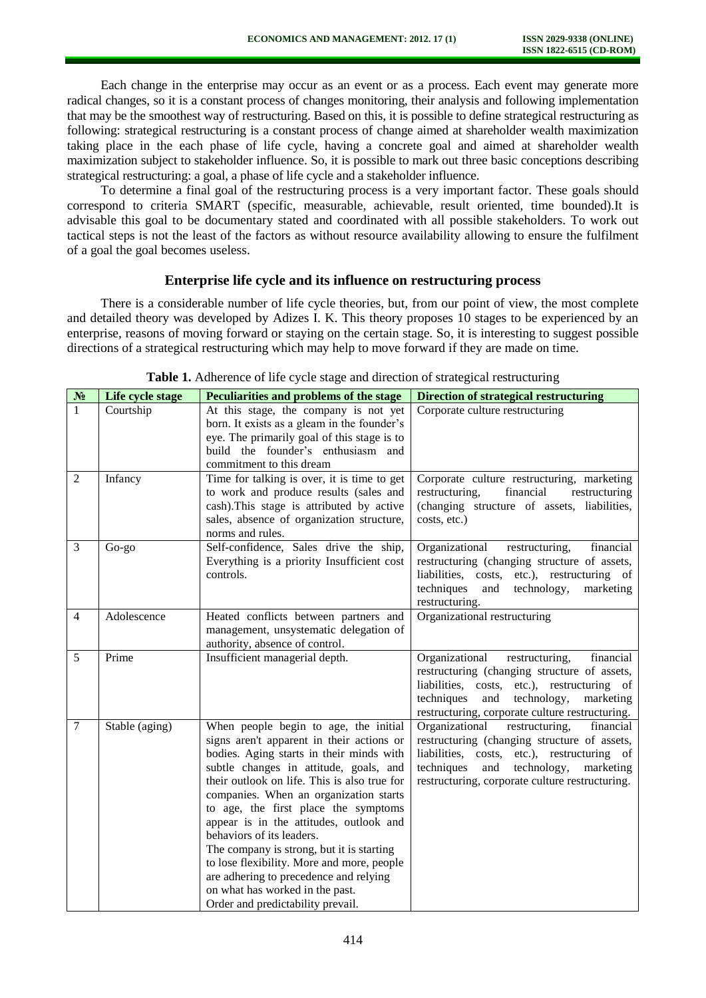Each change in the enterprise may occur as an event or as a process. Each event may generate more radical changes, so it is a constant process of changes monitoring, their analysis and following implementation that may be the smoothest way of restructuring. Based on this, it is possible to define strategical restructuring as following: strategical restructuring is a constant process of change aimed at shareholder wealth maximization taking place in the each phase of life cycle, having a concrete goal and aimed at shareholder wealth maximization subject to stakeholder influence. So, it is possible to mark out three basic conceptions describing strategical restructuring: a goal, a phase of life cycle and a stakeholder influence.

To determine a final goal of the restructuring process is a very important factor. These goals should correspond to criteria SMART (specific, measurable, achievable, result oriented, time bounded).It is advisable this goal to be documentary stated and coordinated with all possible stakeholders. To work out tactical steps is not the least of the factors as without resource availability allowing to ensure the fulfilment of a goal the goal becomes useless.

# **Enterprise life cycle and its influence on restructuring process**

There is a considerable number of life cycle theories, but, from our point of view, the most complete and detailed theory was developed by Adizes I. K. This theory proposes 10 stages to be experienced by an enterprise, reasons of moving forward or staying on the certain stage. So, it is interesting to suggest possible directions of a strategical restructuring which may help to move forward if they are made on time.

| N <sub>2</sub>           | Life cycle stage | Peculiarities and problems of the stage                                                                                                                                                                                                                                                                                                                                                                                                                                                                                                                                                         | <b>Direction of strategical restructuring</b>                                                                                                                                                                                                    |
|--------------------------|------------------|-------------------------------------------------------------------------------------------------------------------------------------------------------------------------------------------------------------------------------------------------------------------------------------------------------------------------------------------------------------------------------------------------------------------------------------------------------------------------------------------------------------------------------------------------------------------------------------------------|--------------------------------------------------------------------------------------------------------------------------------------------------------------------------------------------------------------------------------------------------|
| $\mathbf{1}$             | Courtship        | At this stage, the company is not yet<br>born. It exists as a gleam in the founder's<br>eye. The primarily goal of this stage is to<br>build the founder's enthusiasm and<br>commitment to this dream                                                                                                                                                                                                                                                                                                                                                                                           | Corporate culture restructuring                                                                                                                                                                                                                  |
| $\overline{2}$           | Infancy          | Time for talking is over, it is time to get<br>to work and produce results (sales and<br>cash). This stage is attributed by active<br>sales, absence of organization structure,<br>norms and rules.                                                                                                                                                                                                                                                                                                                                                                                             | Corporate culture restructuring, marketing<br>financial<br>restructuring,<br>restructuring<br>(changing structure of assets, liabilities,<br>costs, etc.)                                                                                        |
| 3                        | Go-go            | Self-confidence, Sales drive the ship,<br>Everything is a priority Insufficient cost<br>controls.                                                                                                                                                                                                                                                                                                                                                                                                                                                                                               | Organizational<br>restructuring,<br>financial<br>restructuring (changing structure of assets,<br>liabilities, costs, etc.), restructuring of<br>techniques<br>and<br>technology,<br>marketing<br>restructuring.                                  |
| $\overline{\mathcal{A}}$ | Adolescence      | Heated conflicts between partners and<br>management, unsystematic delegation of<br>authority, absence of control.                                                                                                                                                                                                                                                                                                                                                                                                                                                                               | Organizational restructuring                                                                                                                                                                                                                     |
| 5                        | Prime            | Insufficient managerial depth.                                                                                                                                                                                                                                                                                                                                                                                                                                                                                                                                                                  | Organizational<br>restructuring,<br>financial<br>restructuring (changing structure of assets,<br>liabilities, costs, etc.), restructuring of<br>techniques<br>and<br>technology,<br>marketing<br>restructuring, corporate culture restructuring. |
| $\overline{7}$           | Stable (aging)   | When people begin to age, the initial<br>signs aren't apparent in their actions or<br>bodies. Aging starts in their minds with<br>subtle changes in attitude, goals, and<br>their outlook on life. This is also true for<br>companies. When an organization starts<br>to age, the first place the symptoms<br>appear is in the attitudes, outlook and<br>behaviors of its leaders.<br>The company is strong, but it is starting<br>to lose flexibility. More and more, people<br>are adhering to precedence and relying<br>on what has worked in the past.<br>Order and predictability prevail. | Organizational<br>restructuring,<br>financial<br>restructuring (changing structure of assets,<br>liabilities, costs, etc.), restructuring of<br>techniques<br>and<br>technology,<br>marketing<br>restructuring, corporate culture restructuring. |

**Table 1.** Adherence of life cycle stage and direction of strategical restructuring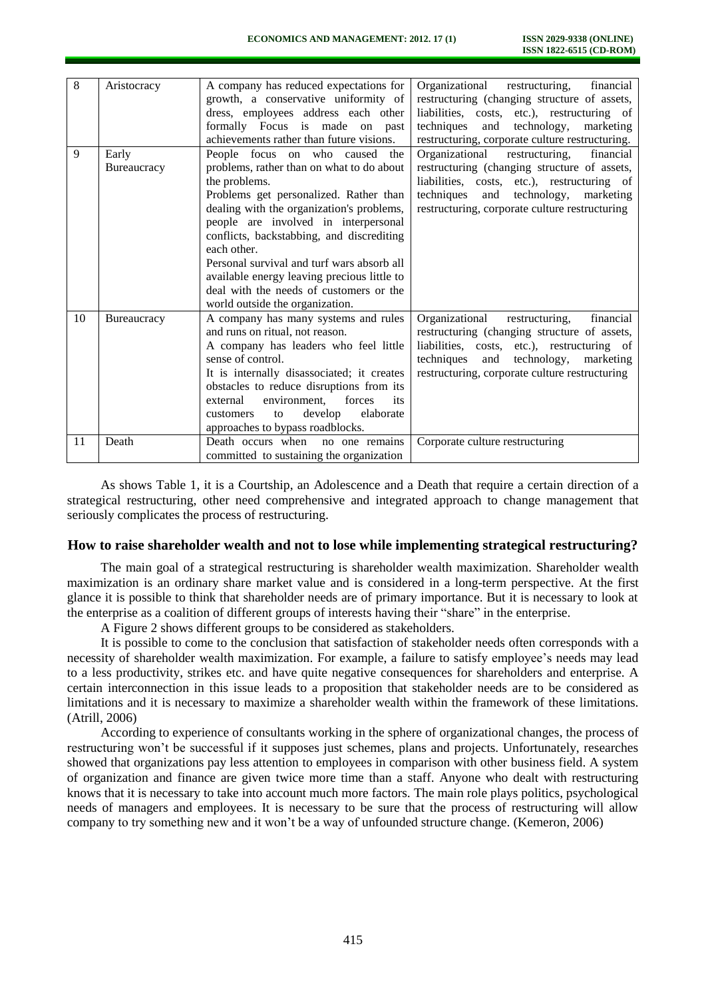| 8  | Aristocracy | A company has reduced expectations for      | Organizational restructuring,<br>financial      |
|----|-------------|---------------------------------------------|-------------------------------------------------|
|    |             | growth, a conservative uniformity of        | restructuring (changing structure of assets,    |
|    |             | dress, employees address each other         | liabilities, costs, etc.), restructuring of     |
|    |             | formally Focus is made on past              | and<br>technology,<br>techniques<br>marketing   |
|    |             | achievements rather than future visions.    | restructuring, corporate culture restructuring. |
| 9  | Early       | People focus on who caused<br>the           | Organizational<br>restructuring,<br>financial   |
|    | Bureaucracy | problems, rather than on what to do about   | restructuring (changing structure of assets,    |
|    |             | the problems.                               | liabilities, costs, etc.), restructuring of     |
|    |             | Problems get personalized. Rather than      | techniques<br>and<br>technology,<br>marketing   |
|    |             | dealing with the organization's problems,   | restructuring, corporate culture restructuring  |
|    |             | people are involved in interpersonal        |                                                 |
|    |             | conflicts, backstabbing, and discrediting   |                                                 |
|    |             | each other.                                 |                                                 |
|    |             | Personal survival and turf wars absorb all  |                                                 |
|    |             | available energy leaving precious little to |                                                 |
|    |             | deal with the needs of customers or the     |                                                 |
|    |             | world outside the organization.             |                                                 |
| 10 | Bureaucracy | A company has many systems and rules        | Organizational<br>financial<br>restructuring.   |
|    |             | and runs on ritual, not reason.             | restructuring (changing structure of assets,    |
|    |             | A company has leaders who feel little       | liabilities, costs, etc.), restructuring of     |
|    |             | sense of control.                           |                                                 |
|    |             |                                             | techniques<br>technology,<br>and<br>marketing   |
|    |             | It is internally disassociated; it creates  | restructuring, corporate culture restructuring  |
|    |             | obstacles to reduce disruptions from its    |                                                 |
|    |             | environment, forces<br>its<br>external      |                                                 |
|    |             | develop<br>elaborate<br>to<br>customers     |                                                 |
|    |             | approaches to bypass roadblocks.            |                                                 |
| 11 | Death       | Death occurs when no one remains            | Corporate culture restructuring                 |
|    |             | committed to sustaining the organization    |                                                 |

As shows Table 1, it is a Courtship, an Adolescence and a Death that require a certain direction of a strategical restructuring, other need comprehensive and integrated approach to change management that seriously complicates the process of restructuring.

## **How to raise shareholder wealth and not to lose while implementing strategical restructuring?**

The main goal of a strategical restructuring is shareholder wealth maximization. Shareholder wealth maximization is an ordinary share market value and is considered in a long-term perspective. At the first glance it is possible to think that shareholder needs are of primary importance. But it is necessary to look at the enterprise as a coalition of different groups of interests having their "share" in the enterprise.

A Figure 2 shows different groups to be considered as stakeholders.

It is possible to come to the conclusion that satisfaction of stakeholder needs often corresponds with a necessity of shareholder wealth maximization. For example, a failure to satisfy employee's needs may lead to a less productivity, strikes etc. and have quite negative consequences for shareholders and enterprise. A certain interconnection in this issue leads to a proposition that stakeholder needs are to be considered as limitations and it is necessary to maximize a shareholder wealth within the framework of these limitations. (Atrill, 2006)

According to experience of consultants working in the sphere of organizational changes, the process of restructuring won't be successful if it supposes just schemes, plans and projects. Unfortunately, researches showed that organizations pay less attention to employees in comparison with other business field. A system of organization and finance are given twice more time than a staff. Anyone who dealt with restructuring knows that it is necessary to take into account much more factors. The main role plays politics, psychological needs of managers and employees. It is necessary to be sure that the process of restructuring will allow company to try something new and it won't be a way of unfounded structure change. (Kemeron, 2006)